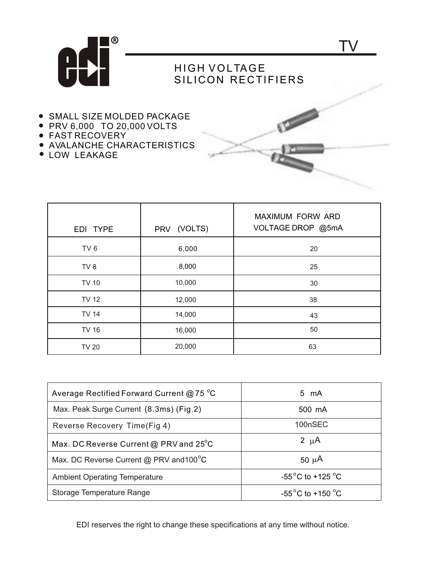

## HIGH VOLTAGE SILICON RECTIFIERS

TV

- **.** SMALL SIZE MOLDED PACKAGE
- PRV 6,000 TO 20,000 VOLTS
- FAST RECOVERY
- AVALANCHE CHARACTERISTICS
- LOW LEAKAGE

| EDI TYPE        | PRV (VOLTS) | <b>MAXIMUM FORW ARD</b><br>VOLTAGE DROP @5mA |
|-----------------|-------------|----------------------------------------------|
| TV <sub>6</sub> | 6,000       | 20                                           |
| TV <sub>8</sub> | 8,000       | 25                                           |
| <b>TV 10</b>    | 10,000      | 30                                           |
| <b>TV 12</b>    | 12,000      | 38                                           |
| <b>TV 14</b>    | 14,000      | 43                                           |
| <b>TV 16</b>    | 16,000      | 50                                           |
| <b>TV 20</b>    | 20,000      | 63                                           |

| Average Rectified Forward Current @ 75 $^{\circ}$ C | 5 mA                                      |
|-----------------------------------------------------|-------------------------------------------|
| Max. Peak Surge Current (8.3ms) (Fig.2)             | 500 mA                                    |
| Reverse Recovery Time(Fig 4)                        | 100nSEC                                   |
| Max. DC Reverse Current @ PRV and $25^{\circ}$ C    | 2 $\mu$ A                                 |
| Max. DC Reverse Current @ PRV and 100°C             | 50 $\mu$ A                                |
| <b>Ambient Operating Temperature</b>                | -55 $^{\circ}$ C to +125 $^{\circ}$ C     |
| Storage Temperature Range                           | -55 <sup>°</sup> C to +150 <sup>°</sup> C |

EDI reserves the right to change these specifications at any time without notice.